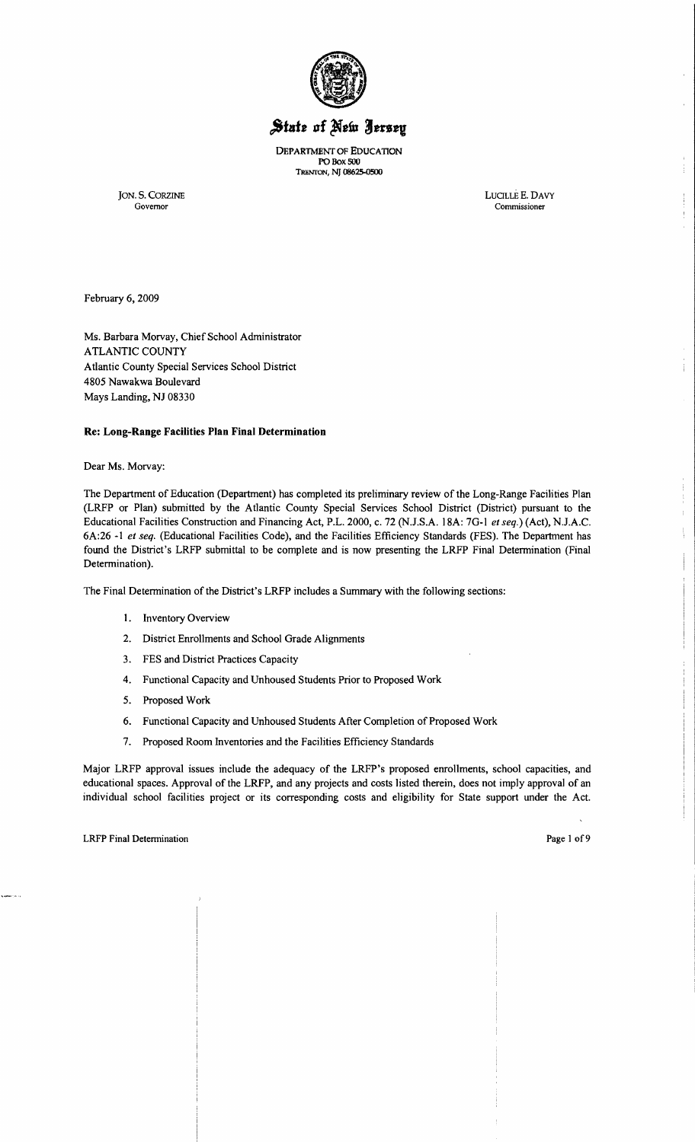

# State of New Jersey

DEPARTMENT OF EDUCATION PO Box 500 TRENTON, NJ n%25-0SOO

JON. S. CORZINE LUCILLEE. DAVY Governor Commissioner

÷

February 6, 2009

Ms. Barbara Morvay, Chief School Administrator ATLANTIC COUNTY Atlantic County Special Services School District 4805 Nawakwa Boulevard Mays Landing, NJ 08330

## **Re: Long-Range Facilities Plan Final Determination**

Dear Ms. Morvay:

The Department of Education (Department) has completed its preliminary review of the Long-Range Facilities Plan (LRFP or Plan) submitted by the Atlantic County Special Services School District (District) pursuant to the Educational Facilities Construction and Financing Act, P.L. 2000, c. 72 (N.J.S.A. l8A: 70-1 *et seq.)* (Act), NJ.A.C. 6A:26 -1 *et seq.* (Educational Facilities Code), and the Facilities Efficiency Standards (FES). The Department has found the District's LRFP submittal to be complete and is now presenting the LRFP Final Determination (Final Determination).

The Final Determination of the District's LRFP includes a Summary with the following sections:

- 1. Inventory Overview
- 2. District Enrollments and School Grade Alignments
- 3. FES and District Practices Capacity
- 4. Functional Capacity and Unhoused Students Prior to Proposed Work
- 5. Proposed Work
- 6. Functional Capacity and Unhoused Students After Completion of Proposed Work
- 7. Proposed Room Inventories and the Facilities Efficiency Standards

Major LRFP approval issues include the adequacy of the LRFP's proposed enrollments, school capacities, and educational spaces. Approval of the LRFP, and any projects and costs listed therein, does not imply approval of an individual school facilities project or its corresponding costs and eligibility for State support under the Act.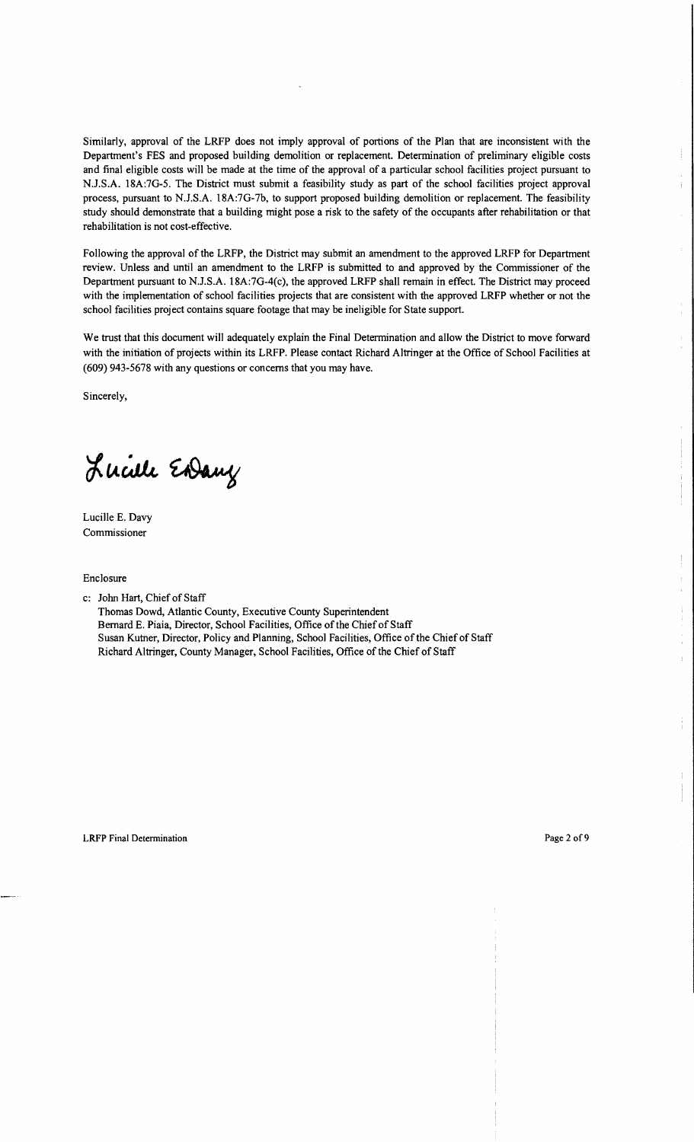Similarly, approval of the LRFP does not imply approval of portions of the Plan that are inconsistent with the Department's FES and proposed building demolition or replacement. Determination of preliminary eligible costs and final eligible costs will be made at the time of the approval of a particular school facilities project pursuant to NJ.S.A. 18A:7G-5. The District must submit a feasibility study as part of the school facilities project approval process, pursuant to NJ.S.A. 18A:7G-7b, to support proposed building demolition or replacement. The feasibility study should demonstrate that a building might pose a risk to the safety of the occupants after rehabilitation or that rehabilitation is not cost-effective.

Following the approval of the LRFP, the District may submit an amendment to the approved LRFP for Department review. Unless and until an amendment to the LRFP is submitted to and approved by the Commissioner of the Department pursuant to NJ.S.A. 18A:7G-4(c), the approved LRFP shall remain in effect. The District may proceed with the implementation of school facilities projects that are consistent with the approved LRFP whether or not the school facilities project contains square footage that may be ineligible for State support.

We trust that this document will adequately explain the Final Determination and allow the District to move forward with the initiation of projects within its LRFP. Please contact Richard Altringer at the Office of School Facilities at (609) 943-5678 with any questions or concerns that you may have.

Sincerely,

Lucille Endany

Lucille E. Davy Commissioner

Enclosure

c: John Hart, Chief of Staff

Thomas Dowd, Atlantic County, Executive County Superintendent Bernard E. Piaia, Director, School Facilities, Office of the Chief of Staff Susan Kutner, Director, Policy and Planning, School Facilities, Office of the Chief of Staff Richard Altringer, County Manager, School Facilities, Office of the Chief of Staff

ł.

 $\mathbf{L}$ 

 $\mathbb{R}^2$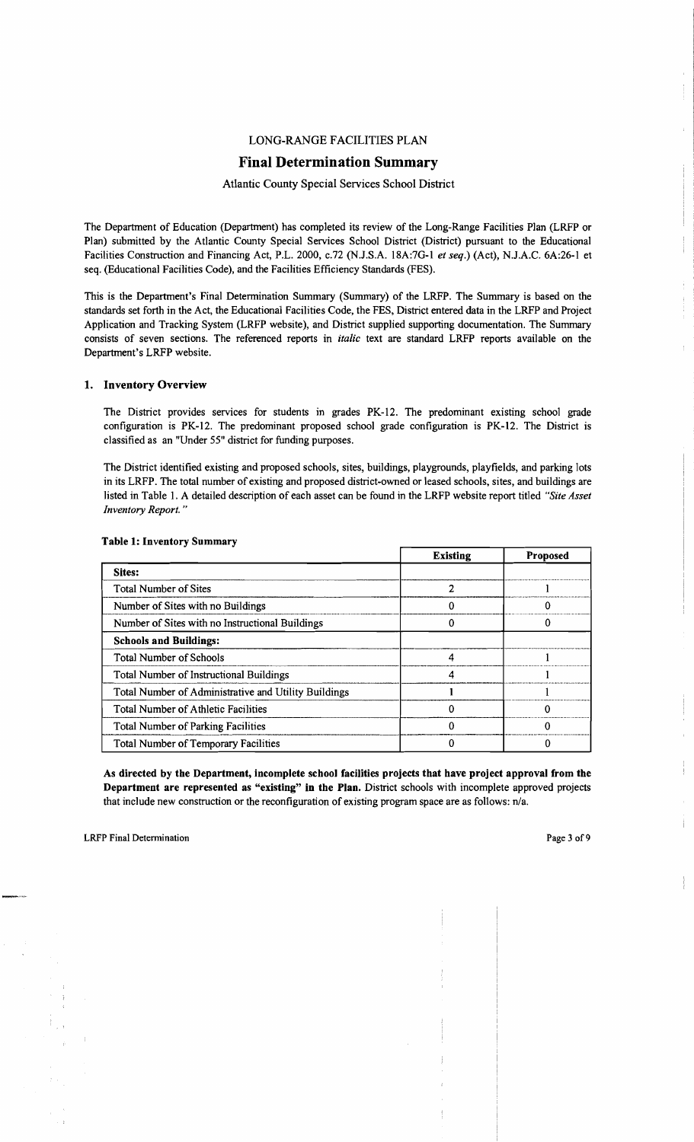# LONG-RANGE FACILITIES PLAN

# Final Determination Summary

#### Atlantic County Special Services School District

The Department of Education (Department) has completed its review of the Long-Range Facilities Plan (LRFP or Plan) submitted by the Atlantic County Special Services School District (District) pursuant to the Educational Facilities Construction and Financing Act, P.L. 2000, *c.n* (N.J.S.A. 18A:7G-I *et seq.)* (Act), N.J.A.C. 6A:26-1 et seq. (Educational Facilities Code), and the Facilities Efficiency Standards (FES).

This is the Department's Final Detennination Summary (Summary) of the LRFP. The Summary is based on the standards set forth in the Act, the Educational Facilities Code, the FES, District entered data in the LRFP and Project Application and Tracking System (LRFP website), and District supplied supporting documentation. The Summary consists of seven sections. The referenced reports in *italic* text are standard LRFP reports available on the Department's LRFP website.

#### 1. Inventory Overview

The District provides services for students in grades PK-12. The predominant existing school grade configuration is PK-12. The predominant proposed school grade configuration is PK-12. The District is classified as an "Under 55" district for funding purposes.

The District identified existing and proposed schools, sites, buildings, playgrounds, playfields, and parking lots in its LRFP. The total number of existing and proposed district-owned or leased schools, sites, and buildings are listed in Table I. A detailed description of each asset can be found in the LRFP website report titled *"Site Asset Inventory Report. "* 

|                                                      | <b>Existing</b> | <b>Proposed</b> |
|------------------------------------------------------|-----------------|-----------------|
| Sites:                                               |                 |                 |
| <b>Total Number of Sites</b>                         |                 |                 |
| Number of Sites with no Buildings                    |                 |                 |
| Number of Sites with no Instructional Buildings      |                 |                 |
| <b>Schools and Buildings:</b>                        |                 |                 |
| <b>Total Number of Schools</b>                       |                 |                 |
| Total Number of Instructional Buildings              |                 |                 |
| Total Number of Administrative and Utility Buildings |                 |                 |
| <b>Total Number of Athletic Facilities</b>           |                 |                 |
| <b>Total Number of Parking Facilities</b>            |                 |                 |
| <b>Total Number of Temporary Facilities</b>          |                 |                 |

#### Table 1: Inventory Summary

As directed by the Department, incomplete school facilities projects that have project approval from the Department are represented as "existing" in the Plan. District schools with incomplete approved projects that include new construction or the reconfiguration of existing program space are as follows: n/a.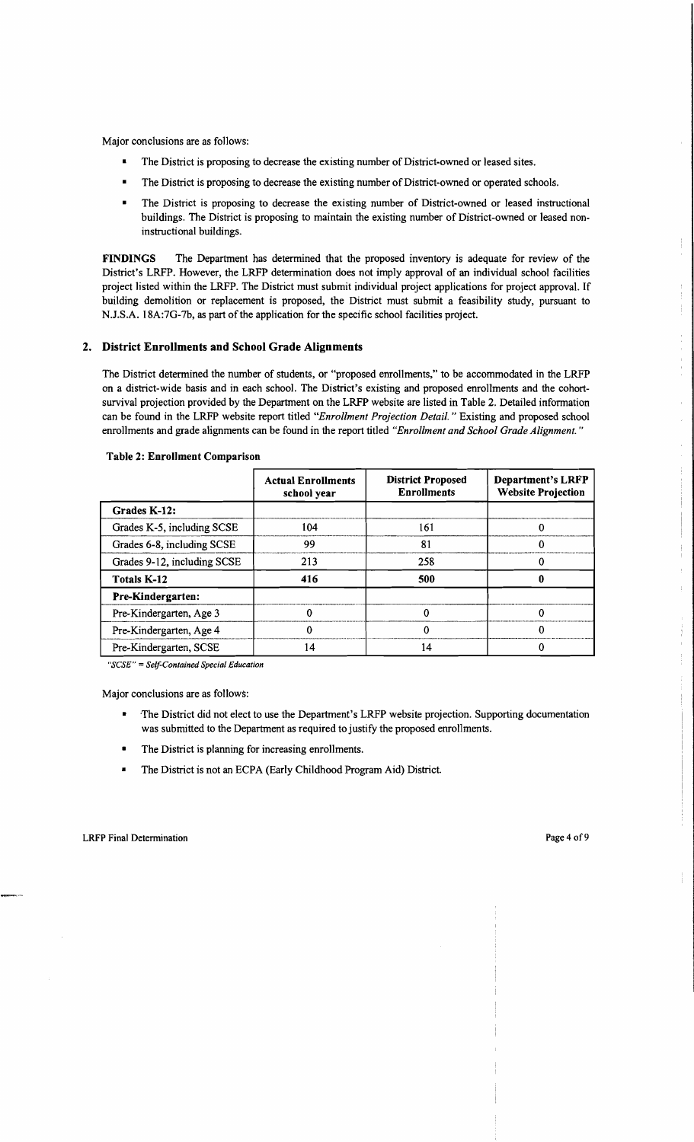Major conclusions are as follows:

- The District is proposing to decrease the existing number of District-owned or leased sites.
- The District is proposing to decrease the existing number of District-owned or operated schools.
- The District is proposing to decrease the existing number of District-owned or leased instructional buildings. The District is proposing to maintain the existing number of District-owned or leased noninstructional buildings.

FINDINGS The Department has determined that the proposed inventory is adequate for review of the District's LRFP. However, the LRFP determination does not imply approval of an individual school facilities project listed within the LRFP. The District must submit individual project applications for project approval. If building demolition or replacement is proposed, the District must submit a feasibility study, pursuant to N.J.S.A. 18A:7G-7b, as part of the application for the specific school facilities project.

## 2. District Enrollments and School Grade Alignments

The District determined the number of students, or "proposed enrollments," to be accommodated in the LRFP on a district-wide basis and in each school. The District's existing and proposed enrollments and the cohortsurvival projection provided by the Department on the LRFP website are listed in Table 2. Detailed information can be found in the LRFP website report titled *"Enrollment Projection Detail.* " Existing and proposed school enrollments and grade alignments can be found in the report titled *"Enrollment and School Grade Alignment. "* 

|                             | <b>Actual Enrollments</b><br>school year | <b>District Proposed</b><br><b>Enrollments</b> | <b>Department's LRFP</b><br><b>Website Projection</b> |
|-----------------------------|------------------------------------------|------------------------------------------------|-------------------------------------------------------|
| Grades K-12:                |                                          |                                                |                                                       |
| Grades K-5, including SCSE  | 104                                      | 161                                            |                                                       |
| Grades 6-8, including SCSE  | 99                                       | 81                                             |                                                       |
| Grades 9-12, including SCSE | 213                                      | 258                                            |                                                       |
| Totals K-12                 | 416                                      | 500                                            |                                                       |
| Pre-Kindergarten:           |                                          |                                                |                                                       |
| Pre-Kindergarten, Age 3     |                                          |                                                |                                                       |
| Pre-Kindergarten, Age 4     |                                          |                                                |                                                       |
| Pre-Kindergarten, SCSE      | 14                                       |                                                |                                                       |

#### Table 2: Enrollment Comparison

*"SCSE"* = *Self-Contained Special Education* 

Major conclusions are as follows:

- The District did not elect to use the Department's LRFP website projection. Supporting documentation was submitted to the Department as required to justify the proposed enrollments.
- The District is planning for increasing enrollments.
- The District is not an ECPA (Early Childhood Program Aid) District.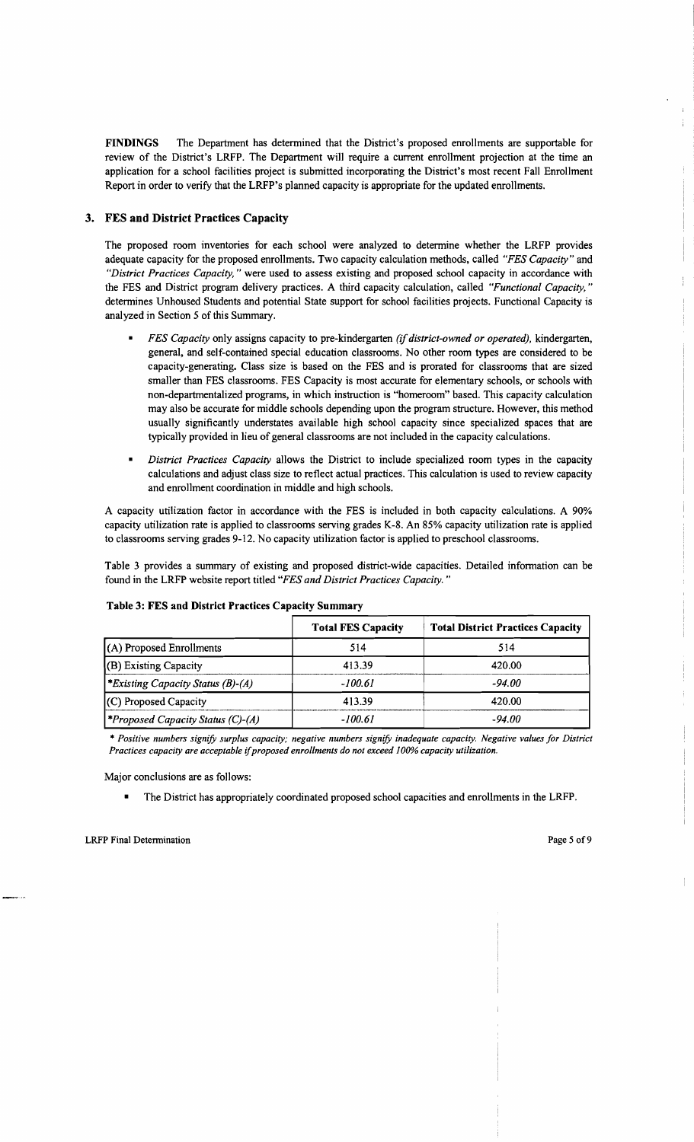FINDINGS The Department has determined that the District's proposed enrollments are supportable for review of the District's LRFP. The Department will require a current enrollment projection at the time an application for a school facilities project is submitted incorporating the District's most recent Fall Enrollment Report in order to verify that the LRFP's planned capacity is appropriate for the updated enrollments.

# 3. FES **and** District Practices Capacity

The proposed room inventories for each school were analyzed to determine whether the LRFP provides adequate capacity for the proposed enrollments. Two capacity calculation methods, called *"FES Capacity"* and *"District Practices Capacity,* " were used to assess existing and proposed school capacity in accordance with the FES and District program delivery practices. A third capacity calculation, called *"Functional Capacity, "*  determines Unhoused Students and potential State support for school facilities projects. Functional Capacity is analyzed in Section 5 of this Summary.

- *FES Capacity only assigns capacity to pre-kindergarten (if district-owned or operated), kindergarten,* general, and self-contained special education classrooms. No other room types are considered to be capacity-generating. Class size is based on the FES and is prorated for classrooms that are sized smaller than FES classrooms. FES Capacity is most accurate for elementary schools, or schools with non-departmentalized programs, in which instruction is "homeroom" based. This capacity calculation may also be accurate for middle schools depending upon the program structure. However, this method usually significantly understates available high school capacity since specialized spaces that are typically provided in lieu of general classrooms are not included in the capacity calculations.
- *District Practices Capacity* allows the District to include specialized room types in the capacity calculations and adjust class size to reflect actual practices. This calculation is used to review capacity and enrollment coordination in middle and high schools.

A capacity utilization factor in accordance with the FES is included in both capacity calculations. A 90% capacity utilization rate is applied to classrooms serving grades K-8. An 85% capacity utilization rate is applied to classrooms serving grades 9-12. No capacity utilization factor is applied to preschool classrooms.

Table 3 provides a summary of existing and proposed district-wide capacities. Detailed infonnation can be found in the LRFP website report titled *"FES and District Practices Capacity. "* 

|                                          | <b>Total FES Capacity</b> | <b>Total District Practices Capacity</b> |
|------------------------------------------|---------------------------|------------------------------------------|
| (A) Proposed Enrollments                 | 514                       | 514                                      |
| (B) Existing Capacity                    | 413.39                    | 420.00                                   |
| <i>*Existing Capacity Status (B)-(A)</i> | $-100.61$                 | $-94.00$                                 |
| (C) Proposed Capacity                    | 413.39                    | 420.00                                   |
| <b>Proposed Capacity Status (C)-(A)</b>  | $-100.61$                 | $-94.00$                                 |

#### Table 3: FES and District Practices Capacity Summary

*" Positive numbers signifY surplus capacity; negative numbers signifY inadequate capacity. Negative values for District Practices capacity are acceptable* if*proposed enrollments do not exceed 100% capacity utilization.* 

Major conclusions are as follows:

• The District has appropriately coordinated proposed school capacities and enrollments in the LRFP.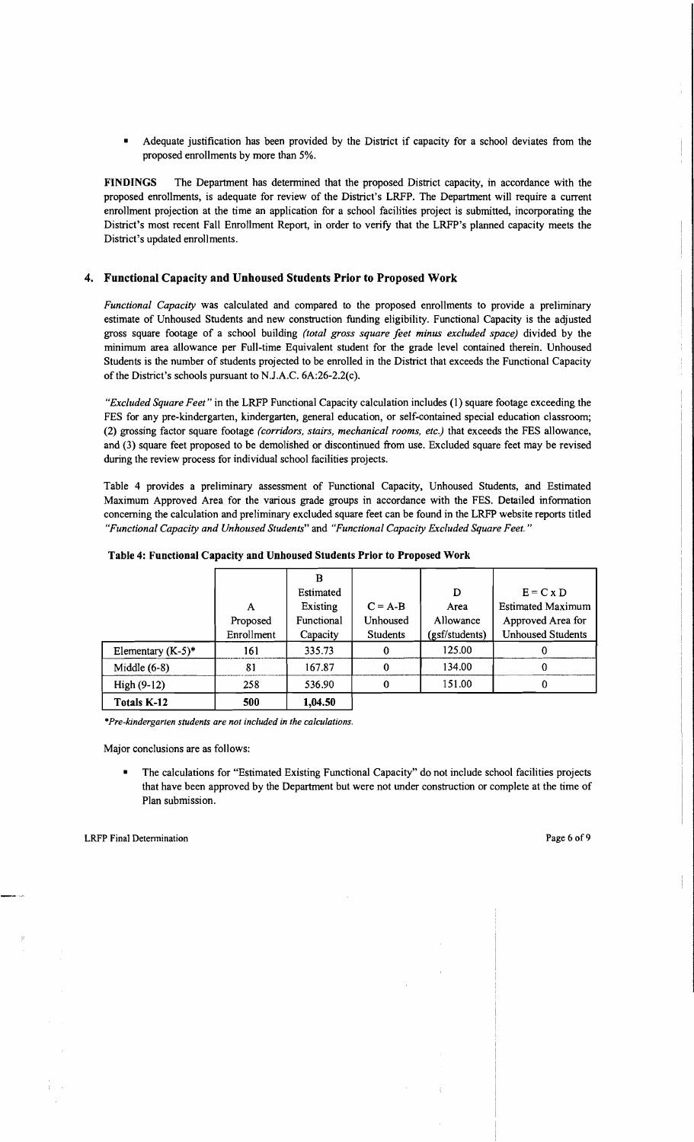Adequate justification has been provided by the District if capacity for a school deviates from the proposed enrollments by more than 5%.

FINDINGS The Department has determined that the proposed District capacity, in accordance with the proposed enrollments, is adequate for review of the District's LRFP. The Department will require a current enrollment projection at the time an application for a school facilities project is submitted, incorporating the District's most recent Fall Enrollment Report, in order to verify that the LRFP's planned capacity meets the District's updated enrollments.

# 4. Functional Capacity and Unhoused Students Prior to Proposed Work

*Functional Capacity* was calculated and compared to the proposed enrollments to provide a preliminary estimate of Unhoused Students and new construction funding eligibility. Functional Capacity is the adjusted gross square footage of a school building *(total gross square feet minus excluded space)* divided by the minimum area allowance per Full-time Equivalent student for the grade level contained therein. Unhoused Students is the number of students projected to be enrolled in the District that exceeds the Functional Capacity of the District's schools pursuant to NJ.A.C. 6A:26-2.2(c).

*"Excluded Square Feet"* in the LRFP Functional Capacity calculation includes (1) square footage exceeding the FES for any pre-kindergarten, kindergarten, general education, or self-contained special education classroom; (2) grossing factor square footage *(corridors, stairs, mechanical rooms, etc.)* that exceeds the FES allowance, and (3) square feet proposed to be demolished or discontinued from use. Excluded square feet may be revised during the review process for individual school facilities projects.

Table 4 provides a preliminary assessment of Functional Capacity, Unhoused Students, and Estimated Maximum Approved Area for the various grade groups in accordance with the FES. Detailed information concerning the calculation and preliminary excluded square feet can be found in the LRFP website reports titled *"Functional Capacity and Unhoused Students"* and *"Functional Capacity Excluded Square Feet."* 

|                      |            | в          |                 |                |                          |
|----------------------|------------|------------|-----------------|----------------|--------------------------|
|                      |            | Estimated  |                 | D              | $E = C x D$              |
|                      | A          | Existing   | $C = A-B$       | Area           | <b>Estimated Maximum</b> |
|                      | Proposed   | Functional | Unhoused        | Allowance      | Approved Area for        |
|                      | Enrollment | Capacity   | <b>Students</b> | (gsf/students) | <b>Unhoused Students</b> |
| Elementary $(K-5)^*$ | 161        | 335.73     | $\mathbf 0$     | 125.00         | 0                        |
| Middle $(6-8)$       | 81         | 167.87     | $\Omega$        | 134.00         | 0                        |
| High $(9-12)$        | 258        | 536.90     | $\Omega$        | 151.00         |                          |
| Totals K-12          | 500        | 1,04.50    |                 |                |                          |

*\*Pre-kindergarten students are not included in the calculations.* 

Major conclusions are as follows:

The calculations for "Estimated Existing Functional Capacity" do not include school facilities projects that have been approved by the Department but were not under construction or complete at the time of Plan submission.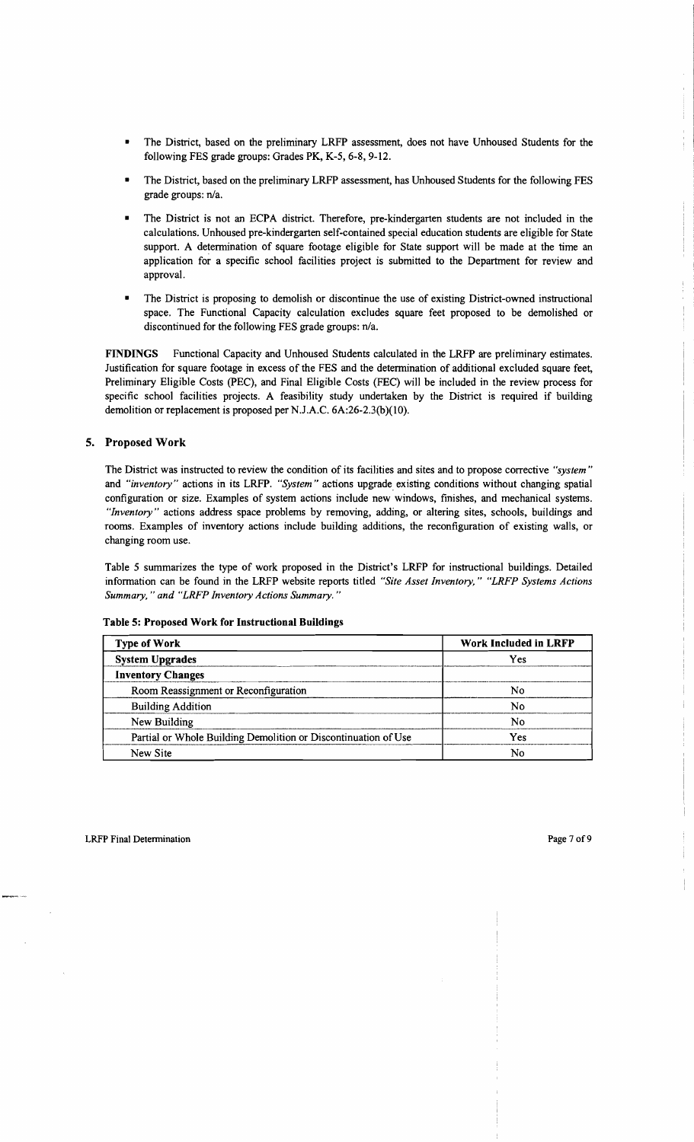- The District, based on the preliminary LRFP assessment, does not have Unhoused Students for the following FES grade groups: Grades PK, K-5, 6-8, 9-12.
- The District, based on the preliminary LRFP assessment, has Unhoused Students for the following FES grade groups: n/a.
- The District is not an ECPA district. Therefore, pre-kindergarten students are not included in the calculations. Unhoused pre-kindergarten self-contained special education students are eligible for State support. A determination of square footage eligible for State support will be made at the time an application for a specific school facilities project is submitted to the Department for review and approval.
- The District is proposing to demolish or discontinue the use of existing District-owned instructional space. The Functional Capacity calculation excludes square feet proposed to be demolished or discontinued for the following FES grade groups:  $n/a$ .

FINDINGS Functional Capacity and Unhoused Students calculated in the LRFP are preliminary estimates. Justification for square footage in excess of the FES and the detennination of additional excluded square feet, Preliminary Eligible Costs (PEC), and Final Eligible Costs (FEC) will be included in the review process for specific school facilities projects. A feasibility study undertaken by the District is required if building demolition or replacement is proposed per N.J.A.C. 6A:26-2.3(b)(10).

## 5. Proposed Work

The District was instructed to review the condition of its facilities and sites and to propose corrective *"system"*  and *"inventory"* actions in its LRFP. *"System"* actions upgrade. existing conditions without changing spatial configuration or size. Examples of system actions include new windows, finishes, and mechanical systems. *"Inventory"* actions address space problems by removing, adding, or altering sites, schools, buildings and rooms. Examples of inventory actions include building additions, the reconfiguration of existing walls, or changing room use.

Table 5 summarizes the type of work proposed in the District's LRFP for instructional buildings. Detailed infonnation can be found in the LRFP website reports titled *"Site Asset Inventory," "LRFP Systems Actions Summary,* " *and "LRFP Inventory Actions Summary. "* 

| <b>Type of Work</b>                                            | <b>Work Included in LRFP</b> |  |  |
|----------------------------------------------------------------|------------------------------|--|--|
| <b>System Upgrades</b>                                         | Yes                          |  |  |
| <b>Inventory Changes</b>                                       |                              |  |  |
| Room Reassignment or Reconfiguration                           | No                           |  |  |
| <b>Building Addition</b>                                       | No                           |  |  |
| New Building                                                   | No                           |  |  |
| Partial or Whole Building Demolition or Discontinuation of Use | Yes                          |  |  |
| New Site                                                       | No                           |  |  |

#### Table 5: Proposed Work for Instructional Buildings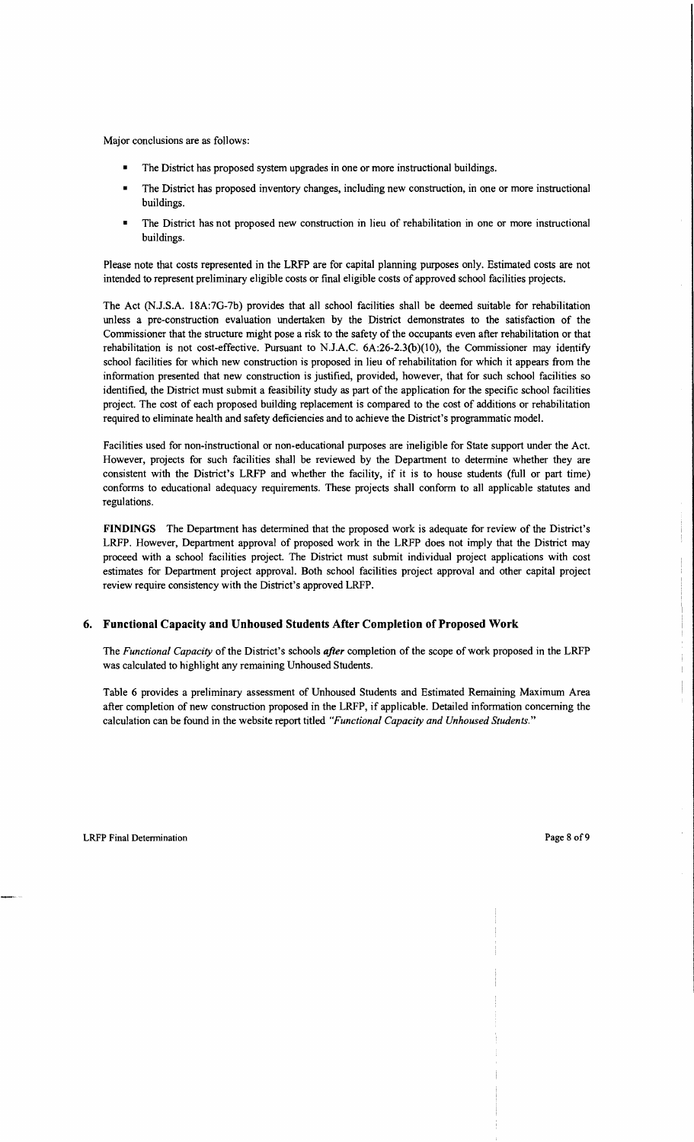Major conclusions are as follows:

- The District has proposed system upgrades in one or more instructional buildings.
- The District has proposed inventory changes, including new construction, in one or more instructional buildings.
- The District has not proposed new construction in lieu of rehabilitation in one or more instructional buildings.

Please note that costs represented in the LRFP are for capital planning purposes only. Estimated costs are not intended to represent preliminary eligible costs or final eligible costs of approved school facilities projects.

The Act (N.J.S.A. 18A:7G-7b) provides that all school facilities shall be deemed suitable for rehabilitation unless a pre-construction evaluation undertaken by the District demonstrates to the satisfaction of the Commissioner that the structure might pose a risk to the safety of the occupants even after rehabilitation or that rehabilitation is not cost-effective. Pursuant to N.lA.C. 6A:26-2.3(b)(1O), the Commissioner may identify school facilities for which new construction is proposed in lieu of rehabilitation for which it appears from the information presented that new construction is justified, provided, however, that for such school facilities so identified, the District must submit a feasibility study as part of the application for the specific school facilities project. The cost of each proposed building replacement is compared to the cost of additions or rehabilitation required to eliminate health and safety deficiencies and to achieve the District's programmatic model.

Facilities used for non-instructional or non-educational purposes are ineligible for State support under the Act. However, projects for such facilities shall be reviewed by the Department to determine whether they are consistent with the District's LRFP and whether the facility, if it is to house students (full or part time) conforms to educational adequacy requirements. These projects shall conform to all applicable statutes and regulations.

**FINDINGS** The Department has determined that the proposed work is adequate for review of the District's LRFP. However, Department approval of proposed work in the LRFP does not imply that the District may proceed with a school facilities project. The District must submit individual project applications with cost estimates for Department project approval. Both school facilities project approval and other capital project review require consistency with the District's approved LRFP.

#### **6. Functional Capacity and Unhoused Students After Completion** of Proposed **Work**

The *Functional Capacity* of the District's schools *after* completion of the scope of work proposed in the LRFP was calculated to highlight any remaining Unhoused Students.

Table 6 provides a preliminary assessment of Unhoused Students and Estimated Remaining Maximum Area after completion of new construction proposed in the LRFP, if applicable. Detailed information concerning the calculation can be found in the website report titled *"Functional Capacity and Unhoused Students."*